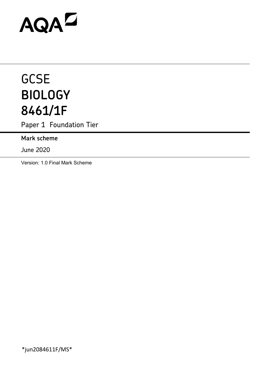# AQAD

# **GCSE BIOLOGY 8461/1F**

Paper 1 Foundation Tier

**Mark scheme** 

June 2020

Version: 1.0 Final Mark Scheme

\*jun2084611F/MS\*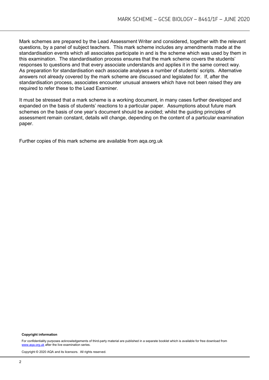Mark schemes are prepared by the Lead Assessment Writer and considered, together with the relevant questions, by a panel of subject teachers. This mark scheme includes any amendments made at the standardisation events which all associates participate in and is the scheme which was used by them in this examination. The standardisation process ensures that the mark scheme covers the students' responses to questions and that every associate understands and applies it in the same correct way. As preparation for standardisation each associate analyses a number of students' scripts. Alternative answers not already covered by the mark scheme are discussed and legislated for. If, after the standardisation process, associates encounter unusual answers which have not been raised they are required to refer these to the Lead Examiner.

It must be stressed that a mark scheme is a working document, in many cases further developed and expanded on the basis of students' reactions to a particular paper. Assumptions about future mark schemes on the basis of one year's document should be avoided; whilst the guiding principles of assessment remain constant, details will change, depending on the content of a particular examination paper.

Further copies of this mark scheme are available from aqa.org.uk

#### **Copyright information**

For confidentiality purposes acknowledgements of third-party material are published in a separate booklet which is available for free download from [www.aqa.org.uk](http://www.aqa.org.uk/) after the live examination series.

Copyright © 2020 AQA and its licensors. All rights reserved.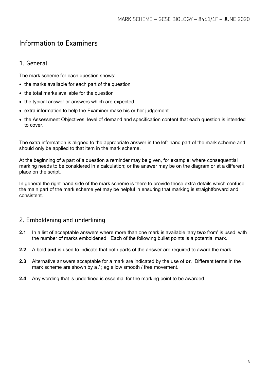# Information to Examiners

# 1. General

The mark scheme for each question shows:

- the marks available for each part of the question
- the total marks available for the question
- the typical answer or answers which are expected
- extra information to help the Examiner make his or her judgement
- the Assessment Objectives, level of demand and specification content that each question is intended to cover.

The extra information is aligned to the appropriate answer in the left-hand part of the mark scheme and should only be applied to that item in the mark scheme.

At the beginning of a part of a question a reminder may be given, for example: where consequential marking needs to be considered in a calculation; or the answer may be on the diagram or at a different place on the script.

In general the right-hand side of the mark scheme is there to provide those extra details which confuse the main part of the mark scheme yet may be helpful in ensuring that marking is straightforward and consistent.

# 2. Emboldening and underlining

- **2.1** In a list of acceptable answers where more than one mark is available 'any **two** from' is used, with the number of marks emboldened. Each of the following bullet points is a potential mark.
- **2.2** A bold **and** is used to indicate that both parts of the answer are required to award the mark.
- **2.3** Alternative answers acceptable for a mark are indicated by the use of **or**. Different terms in the mark scheme are shown by a /; eg allow smooth / free movement.
- **2.4** Any wording that is underlined is essential for the marking point to be awarded.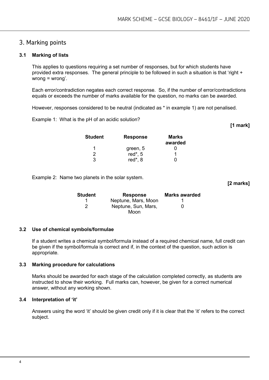### 3. Marking points

#### **3.1 Marking of lists**

This applies to questions requiring a set number of responses, but for which students have provided extra responses. The general principle to be followed in such a situation is that 'right + wrong = wrong'.

Each error/contradiction negates each correct response. So, if the number of error/contradictions equals or exceeds the number of marks available for the question, no marks can be awarded.

However, responses considered to be neutral (indicated as \* in example 1) are not penalised.

Example 1: What is the pH of an acidic solution?

| <b>Student</b> | <b>Response</b> | Marks<br>awarded |
|----------------|-----------------|------------------|
| 1              | green, 5        |                  |
| 2              | red*, 5         |                  |
| 3              | red*, 8         |                  |

Example 2: Name two planets in the solar system.

| Student | <b>Response</b>     | <b>Marks awarded</b> |
|---------|---------------------|----------------------|
|         | Neptune, Mars, Moon |                      |
| 2       | Neptune, Sun, Mars, | 0                    |
|         | Moon                |                      |

#### **3.2 Use of chemical symbols/formulae**

If a student writes a chemical symbol/formula instead of a required chemical name, full credit can be given if the symbol/formula is correct and if, in the context of the question, such action is appropriate.

#### **3.3 Marking procedure for calculations**

Marks should be awarded for each stage of the calculation completed correctly, as students are instructed to show their working. Full marks can, however, be given for a correct numerical answer, without any working shown.

#### **3.4 Interpretation of 'it'**

Answers using the word 'it' should be given credit only if it is clear that the 'it' refers to the correct subject.

**[2 marks]**

**[1 mark]**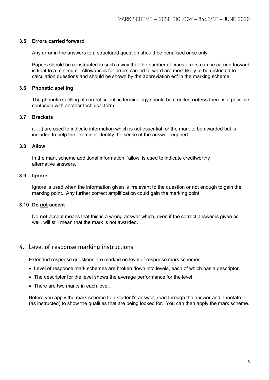#### **3.5 Errors carried forward**

Any error in the answers to a structured question should be penalised once only.

Papers should be constructed in such a way that the number of times errors can be carried forward is kept to a minimum. Allowances for errors carried forward are most likely to be restricted to calculation questions and should be shown by the abbreviation ecf in the marking scheme.

#### **3.6 Phonetic spelling**

The phonetic spelling of correct scientific terminology should be credited **unless** there is a possible confusion with another technical term.

#### **3.7 Brackets**

(…..) are used to indicate information which is not essential for the mark to be awarded but is included to help the examiner identify the sense of the answer required.

#### **3.8 Allow**

In the mark scheme additional information, 'allow' is used to indicate creditworthy alternative answers.

#### **3.9 Ignore**

Ignore is used when the information given is irrelevant to the question or not enough to gain the marking point. Any further correct amplification could gain the marking point.

#### **3.10 Do not accept**

Do **not** accept means that this is a wrong answer which, even if the correct answer is given as well, will still mean that the mark is not awarded.

#### 4. Level of response marking instructions

Extended response questions are marked on level of response mark schemes.

- Level of response mark schemes are broken down into levels, each of which has a descriptor.
- The descriptor for the level shows the average performance for the level.
- There are two marks in each level.

Before you apply the mark scheme to a student's answer, read through the answer and annotate it (as instructed) to show the qualities that are being looked for. You can then apply the mark scheme.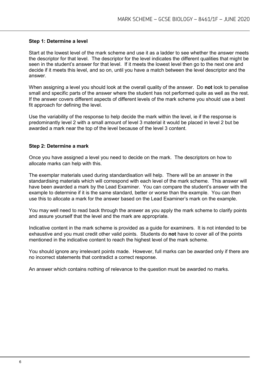#### **Step 1: Determine a level**

Start at the lowest level of the mark scheme and use it as a ladder to see whether the answer meets the descriptor for that level. The descriptor for the level indicates the different qualities that might be seen in the student's answer for that level. If it meets the lowest level then go to the next one and decide if it meets this level, and so on, until you have a match between the level descriptor and the answer.

When assigning a level you should look at the overall quality of the answer. Do **not** look to penalise small and specific parts of the answer where the student has not performed quite as well as the rest. If the answer covers different aspects of different levels of the mark scheme you should use a best fit approach for defining the level.

Use the variability of the response to help decide the mark within the level, ie if the response is predominantly level 2 with a small amount of level 3 material it would be placed in level 2 but be awarded a mark near the top of the level because of the level 3 content.

#### **Step 2: Determine a mark**

Once you have assigned a level you need to decide on the mark. The descriptors on how to allocate marks can help with this.

The exemplar materials used during standardisation will help. There will be an answer in the standardising materials which will correspond with each level of the mark scheme. This answer will have been awarded a mark by the Lead Examiner. You can compare the student's answer with the example to determine if it is the same standard, better or worse than the example. You can then use this to allocate a mark for the answer based on the Lead Examiner's mark on the example.

You may well need to read back through the answer as you apply the mark scheme to clarify points and assure yourself that the level and the mark are appropriate.

Indicative content in the mark scheme is provided as a guide for examiners. It is not intended to be exhaustive and you must credit other valid points. Students do **not** have to cover all of the points mentioned in the indicative content to reach the highest level of the mark scheme.

You should ignore any irrelevant points made. However, full marks can be awarded only if there are no incorrect statements that contradict a correct response.

An answer which contains nothing of relevance to the question must be awarded no marks.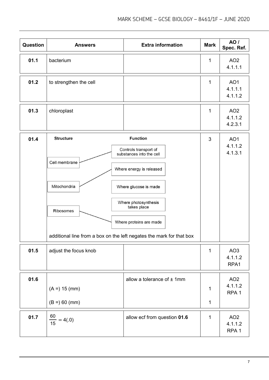| Question | <b>Answers</b>                                                                                                                         | <b>Extra information</b>                                                                                                                                                                    | <b>Mark</b>      | AO /<br>Spec. Ref.                             |
|----------|----------------------------------------------------------------------------------------------------------------------------------------|---------------------------------------------------------------------------------------------------------------------------------------------------------------------------------------------|------------------|------------------------------------------------|
| 01.1     | bacterium                                                                                                                              |                                                                                                                                                                                             | $\mathbf 1$      | AO <sub>2</sub><br>4.1.1.1                     |
| 01.2     | to strengthen the cell                                                                                                                 |                                                                                                                                                                                             | $\mathbf{1}$     | AO <sub>1</sub><br>4.1.1.1<br>4.1.1.2          |
| 01.3     | chloroplast                                                                                                                            |                                                                                                                                                                                             | $\mathbf 1$      | AO <sub>2</sub><br>4.1.1.2<br>4.2.3.1          |
| 01.4     | <b>Structure</b><br>Cell membrane<br>Mitochondria<br>Ribosomes<br>additional line from a box on the left negates the mark for that box | <b>Function</b><br>Controls transport of<br>substances into the cell<br>Where energy is released<br>Where glucose is made<br>Where photosynthesis<br>takes place<br>Where proteins are made | 3                | AO <sub>1</sub><br>4.1.1.2<br>4.1.3.1          |
| 01.5     | adjust the focus knob                                                                                                                  |                                                                                                                                                                                             | $\mathbf{1}$     | AO <sub>3</sub><br>4.1.1.2<br>RPA1             |
| 01.6     | $(A = 15 (mm))$<br>$(B =) 60$ (mm)                                                                                                     | allow a tolerance of $±$ 1mm                                                                                                                                                                | 1<br>$\mathbf 1$ | AO <sub>2</sub><br>4.1.1.2<br>RPA <sub>1</sub> |
| 01.7     | $\frac{60}{15}$ = 4(.0)                                                                                                                | allow ecf from question 01.6                                                                                                                                                                | $\mathbf{1}$     | AO <sub>2</sub><br>4.1.1.2<br>RPA <sub>1</sub> |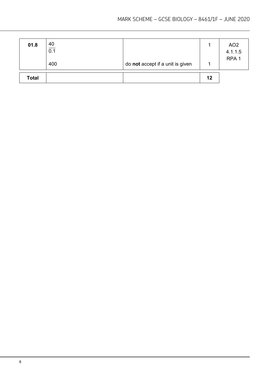| 01.8         | $\frac{40}{0.1}$<br>400 | do not accept if a unit is given |    | AO <sub>2</sub><br>4.1.1.5<br>RPA <sub>1</sub> |
|--------------|-------------------------|----------------------------------|----|------------------------------------------------|
| <b>Total</b> |                         |                                  | 12 |                                                |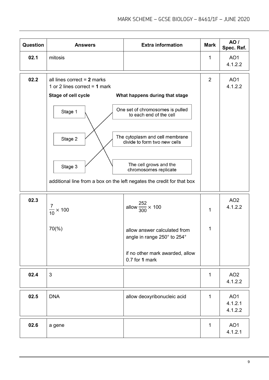| Question | <b>Answers</b>                                                                                                                                                                                     | <b>Extra information</b>                                                                                                                                                                                            | <b>Mark</b>    | <b>AO</b> /<br>Spec. Ref.             |
|----------|----------------------------------------------------------------------------------------------------------------------------------------------------------------------------------------------------|---------------------------------------------------------------------------------------------------------------------------------------------------------------------------------------------------------------------|----------------|---------------------------------------|
| 02.1     | mitosis                                                                                                                                                                                            |                                                                                                                                                                                                                     | $\mathbf{1}$   | AO <sub>1</sub><br>4.1.2.2            |
| 02.2     | all lines correct $= 2$ marks<br>1 or 2 lines correct $=$ 1 mark<br>Stage of cell cycle<br>Stage 1<br>Stage 2<br>Stage 3<br>additional line from a box on the left negates the credit for that box | What happens during that stage<br>One set of chromosomes is pulled<br>to each end of the cell<br>The cytoplasm and cell membrane<br>divide to form two new cells<br>The cell grows and the<br>chromosomes replicate | $\overline{2}$ | AO <sub>1</sub><br>4.1.2.2            |
| 02.3     | 7<br>$\frac{1}{10}$ × 100                                                                                                                                                                          | allow $\frac{252}{300} \times 100$                                                                                                                                                                                  | $\mathbf 1$    | AO <sub>2</sub><br>4.1.2.2            |
|          | $70\%$ )                                                                                                                                                                                           | allow answer calculated from<br>angle in range 250° to 254°<br>if no other mark awarded, allow<br>0.7 for 1 mark                                                                                                    | 1              |                                       |
| 02.4     | 3                                                                                                                                                                                                  |                                                                                                                                                                                                                     | $\mathbf{1}$   | AO <sub>2</sub><br>4.1.2.2            |
| 02.5     | <b>DNA</b>                                                                                                                                                                                         | allow deoxyribonucleic acid                                                                                                                                                                                         | $\mathbf{1}$   | AO <sub>1</sub><br>4.1.2.1<br>4.1.2.2 |
| 02.6     | a gene                                                                                                                                                                                             |                                                                                                                                                                                                                     | $\mathbf{1}$   | AO <sub>1</sub><br>4.1.2.1            |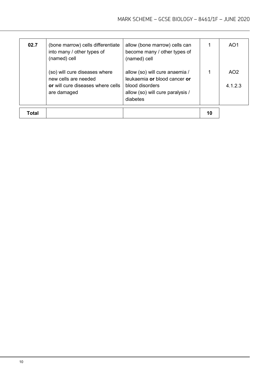| 02.7  | (bone marrow) cells differentiate<br>into many / other types of<br>(named) cell                           | allow (bone marrow) cells can<br>become many / other types of<br>(named) cell                                                     |    | AO <sub>1</sub>            |
|-------|-----------------------------------------------------------------------------------------------------------|-----------------------------------------------------------------------------------------------------------------------------------|----|----------------------------|
|       | (so) will cure diseases where<br>new cells are needed<br>or will cure diseases where cells<br>are damaged | allow (so) will cure anaemia /<br>leukaemia or blood cancer or<br>blood disorders<br>allow (so) will cure paralysis /<br>diabetes |    | AO <sub>2</sub><br>4.1.2.3 |
| Total |                                                                                                           |                                                                                                                                   | 10 |                            |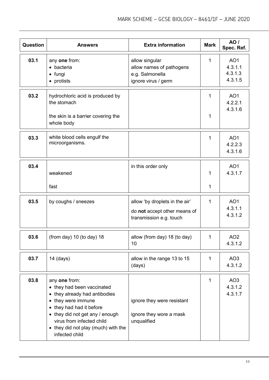| <b>Question</b> | <b>Answers</b>                                                                                                                                                                                                                                          | <b>Extra information</b>                                                                  | <b>Mark</b>      | <b>AO</b> /<br>Spec. Ref.                        |
|-----------------|---------------------------------------------------------------------------------------------------------------------------------------------------------------------------------------------------------------------------------------------------------|-------------------------------------------------------------------------------------------|------------------|--------------------------------------------------|
| 03.1            | any one from:<br>• bacteria<br>$\bullet$ fungi<br>• protists                                                                                                                                                                                            | allow singular<br>allow names of pathogens<br>e.g. Salmonella<br>ignore virus / germ      | 1                | AO <sub>1</sub><br>4.3.1.1<br>4.3.1.3<br>4.3.1.5 |
| 03.2            | hydrochloric acid is produced by<br>the stomach<br>the skin is a barrier covering the<br>whole body                                                                                                                                                     |                                                                                           | 1<br>1           | AO <sub>1</sub><br>4.2.2.1<br>4.3.1.6            |
| 03.3            | white blood cells engulf the<br>microorganisms.                                                                                                                                                                                                         |                                                                                           | 1                | AO <sub>1</sub><br>4.2.2.3<br>4.3.1.6            |
| 03.4            | weakened<br>fast                                                                                                                                                                                                                                        | in this order only                                                                        | 1<br>$\mathbf 1$ | AO <sub>1</sub><br>4.3.1.7                       |
| 03.5            | by coughs / sneezes                                                                                                                                                                                                                                     | allow 'by droplets in the air'<br>do not accept other means of<br>transmission e.g. touch | 1                | AO <sub>1</sub><br>4.3.1.1<br>4.3.1.2            |
| 03.6            | (from day) 10 (to day) 18                                                                                                                                                                                                                               | allow (from day) 18 (to day)<br>10                                                        | 1                | AO <sub>2</sub><br>4.3.1.2                       |
| 03.7            | $14$ (days)                                                                                                                                                                                                                                             | allow in the range 13 to 15<br>(days)                                                     | 1                | AO <sub>3</sub><br>4.3.1.2                       |
| 03.8            | any one from:<br>• they had been vaccinated<br>• they already had antibodies<br>• they were immune<br>• they had had it before<br>• they did not get any / enough<br>virus from infected child<br>• they did not play (much) with the<br>infected child | ignore they were resistant<br>ignore they wore a mask<br>unqualified                      | 1                | AO <sub>3</sub><br>4.3.1.2<br>4.3.1.7            |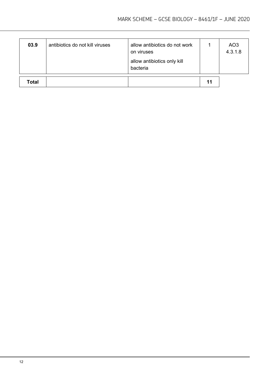| 03.9         | antibiotics do not kill viruses | allow antibiotics do not work<br>on viruses<br>allow antibiotics only kill<br>bacteria |    | AO <sub>3</sub><br>4.3.1.8 |
|--------------|---------------------------------|----------------------------------------------------------------------------------------|----|----------------------------|
| <b>Total</b> |                                 |                                                                                        | 11 |                            |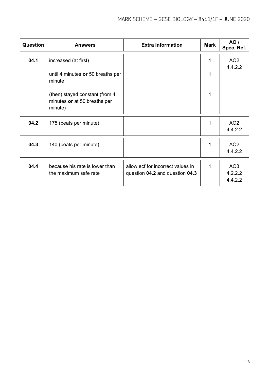| <b>Question</b> | <b>Answers</b>                                                            | <b>Extra information</b>                                             | <b>Mark</b> | <b>AO</b> /<br>Spec. Ref.             |
|-----------------|---------------------------------------------------------------------------|----------------------------------------------------------------------|-------------|---------------------------------------|
| 04.1            | increased (at first)                                                      |                                                                      | 1           | AO <sub>2</sub><br>4.4.2.2            |
|                 | until 4 minutes or 50 breaths per<br>minute                               |                                                                      |             |                                       |
|                 | (then) stayed constant (from 4<br>minutes or at 50 breaths per<br>minute) |                                                                      |             |                                       |
| 04.2            | 175 (beats per minute)                                                    |                                                                      |             | AO <sub>2</sub><br>4.4.2.2            |
| 04.3            | 140 (beats per minute)                                                    |                                                                      | 1           | AO <sub>2</sub><br>4.4.2.2            |
| 04.4            | because his rate is lower than<br>the maximum safe rate                   | allow ecf for incorrect values in<br>question 04.2 and question 04.3 | 1           | AO <sub>3</sub><br>4.2.2.2<br>4.4.2.2 |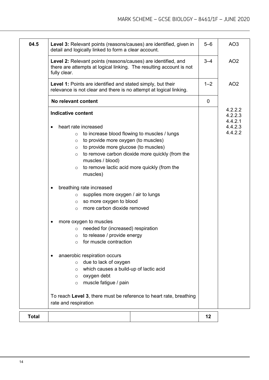| 04.5         | Level 3: Relevant points (reasons/causes) are identified, given in<br>detail and logically linked to form a clear account.                                                                                                                                                                                                                                                                                                                                                                                  | $5 - 6$     | AO <sub>3</sub>               |
|--------------|-------------------------------------------------------------------------------------------------------------------------------------------------------------------------------------------------------------------------------------------------------------------------------------------------------------------------------------------------------------------------------------------------------------------------------------------------------------------------------------------------------------|-------------|-------------------------------|
|              | Level 2: Relevant points (reasons/causes) are identified, and<br>there are attempts at logical linking. The resulting account is not<br>fully clear.                                                                                                                                                                                                                                                                                                                                                        | $3 - 4$     | AO <sub>2</sub>               |
|              | Level 1: Points are identified and stated simply, but their<br>relevance is not clear and there is no attempt at logical linking.                                                                                                                                                                                                                                                                                                                                                                           | $1 - 2$     | AO <sub>2</sub>               |
|              | No relevant content                                                                                                                                                                                                                                                                                                                                                                                                                                                                                         | $\mathbf 0$ |                               |
|              | <b>Indicative content</b>                                                                                                                                                                                                                                                                                                                                                                                                                                                                                   |             | 4.2.2.2<br>4.2.2.3<br>4.4.2.1 |
|              | heart rate increased<br>to increase blood flowing to muscles / lungs<br>$\circ$<br>to provide more oxygen (to muscles)<br>$\circ$<br>to provide more glucose (to muscles)<br>$\circ$<br>to remove carbon dioxide more quickly (from the<br>$\circ$<br>muscles / blood)<br>to remove lactic acid more quickly (from the<br>$\circ$<br>muscles)<br>breathing rate increased<br>supplies more oxygen / air to lungs<br>$\circ$<br>so more oxygen to blood<br>$\circ$<br>more carbon dioxide removed<br>$\circ$ |             | 4.4.2.3<br>4.4.2.2            |
|              | more oxygen to muscles<br>needed for (increased) respiration<br>$\circ$<br>to release / provide energy<br>$\circ$<br>for muscle contraction<br>$\circ$                                                                                                                                                                                                                                                                                                                                                      |             |                               |
|              | anaerobic respiration occurs<br>due to lack of oxygen<br>$\circ$<br>which causes a build-up of lactic acid<br>O<br>oxygen debt<br>$\circ$<br>muscle fatigue / pain<br>$\circ$                                                                                                                                                                                                                                                                                                                               |             |                               |
|              | To reach Level 3, there must be reference to heart rate, breathing<br>rate and respiration                                                                                                                                                                                                                                                                                                                                                                                                                  |             |                               |
| <b>Total</b> |                                                                                                                                                                                                                                                                                                                                                                                                                                                                                                             | 12          |                               |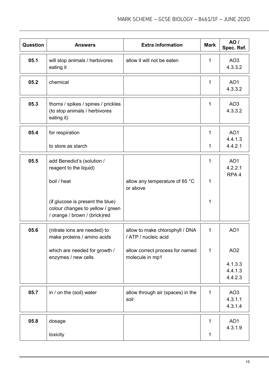| Question | <b>Answers</b>                                                                                        | <b>Extra information</b>                                | <b>Mark</b> | <b>AO</b> /<br>Spec. Ref.                      |
|----------|-------------------------------------------------------------------------------------------------------|---------------------------------------------------------|-------------|------------------------------------------------|
| 05.1     | will stop animals / herbivores<br>eating it                                                           | allow it will not be eaten                              | 1           | AO <sub>3</sub><br>4.3.3.2                     |
| 05.2     | chemical                                                                                              |                                                         | 1           | AO <sub>1</sub><br>4.3.3.2                     |
| 05.3     | thorns / spikes / spines / prickles<br>(to stop animals / herbivores<br>eating it)                    |                                                         | 1           | AO <sub>3</sub><br>4.3.3.2                     |
| 05.4     | for respiration                                                                                       |                                                         | 1           | AO <sub>1</sub><br>4.4.1.3                     |
|          | to store as starch                                                                                    |                                                         | 1           | 4.4.2.1                                        |
| 05.5     | add Benedict's (solution /<br>reagent to the liquid)                                                  |                                                         | 1           | AO <sub>1</sub><br>4.2.2.1<br>RPA <sub>4</sub> |
|          | boil / heat                                                                                           | allow any temperature of 65 °C<br>or above              | 1           |                                                |
|          | (if glucose is present the blue)<br>colour changes to yellow / green<br>/ orange / brown / (brick)red |                                                         | 1           |                                                |
| 05.6     | (nitrate ions are needed) to<br>make proteins / amino acids                                           | allow to make chlorophyll / DNA<br>/ ATP / nucleic acid | 1           | AO <sub>1</sub>                                |
|          | which are needed for growth /<br>enzymes / new cells                                                  | allow correct process for named<br>molecule in mp1      | $\mathbf 1$ | AO <sub>2</sub>                                |
|          |                                                                                                       |                                                         |             | 4.1.3.3<br>4.4.1.3<br>4.4.2.3                  |
| 05.7     | in / on the (soil) water                                                                              | allow through air (spaces) in the<br>soil               | 1           | AO <sub>3</sub><br>4.3.1.1<br>4.3.1.4          |
| 05.8     | dosage                                                                                                |                                                         | 1           | AO <sub>1</sub><br>4.3.1.9                     |
|          | toxicity                                                                                              |                                                         | $\mathbf 1$ |                                                |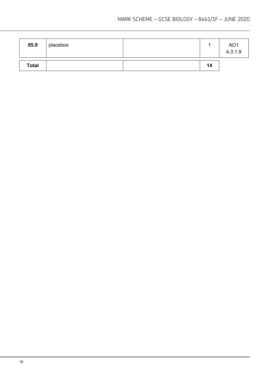| 05.9         | placebos |    | AO <sub>1</sub><br>4.3.1.9 |
|--------------|----------|----|----------------------------|
| <b>Total</b> |          | 14 |                            |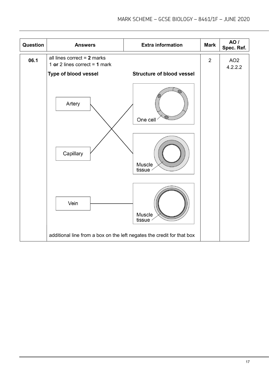| Question | <b>Answers</b>                                                                           | <b>Extra information</b>         | <b>Mark</b>    | AO /<br>Spec. Ref.         |
|----------|------------------------------------------------------------------------------------------|----------------------------------|----------------|----------------------------|
| 06.1     | all lines correct $= 2$ marks<br>1 or 2 lines correct = $1$ mark<br>Type of blood vessel | <b>Structure of blood vessel</b> | $\overline{2}$ | AO <sub>2</sub><br>4.2.2.2 |
|          | Artery                                                                                   | One cell                         |                |                            |
|          | Capillary                                                                                | Muscle<br>tissue                 |                |                            |
|          | Vein                                                                                     | Muscle<br>tissue                 |                |                            |
|          | additional line from a box on the left negates the credit for that box                   |                                  |                |                            |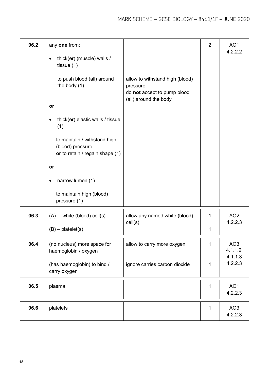| 06.2 | any one from:<br>thick(er) (muscle) walls /<br>$\bullet$<br>tissue $(1)$<br>to push blood (all) around<br>the body $(1)$<br>or<br>thick(er) elastic walls / tissue<br>(1)<br>to maintain / withstand high<br>(blood) pressure<br>or to retain / regain shape (1)<br>or<br>narrow lumen (1)<br>to maintain high (blood)<br>pressure (1) | allow to withstand high (blood)<br>pressure<br>do not accept to pump blood<br>(all) around the body | $\overline{2}$ | AO <sub>1</sub><br>4.2.2.2                       |
|------|----------------------------------------------------------------------------------------------------------------------------------------------------------------------------------------------------------------------------------------------------------------------------------------------------------------------------------------|-----------------------------------------------------------------------------------------------------|----------------|--------------------------------------------------|
| 06.3 | $(A)$ – white (blood) cell(s)<br>$(B)$ – platelet(s)                                                                                                                                                                                                                                                                                   | allow any named white (blood)<br>cell(s)                                                            | 1<br>1         | AO <sub>2</sub><br>4.2.2.3                       |
| 06.4 | (no nucleus) more space for<br>haemoglobin / oxygen<br>(has haemoglobin) to bind /<br>carry oxygen                                                                                                                                                                                                                                     | allow to carry more oxygen<br>ignore carries carbon dioxide                                         | 1<br>1         | AO <sub>3</sub><br>4.1.1.2<br>4.1.1.3<br>4.2.2.3 |
| 06.5 | plasma                                                                                                                                                                                                                                                                                                                                 |                                                                                                     | 1              | AO <sub>1</sub><br>4.2.2.3                       |
| 06.6 | platelets                                                                                                                                                                                                                                                                                                                              |                                                                                                     | 1              | AO <sub>3</sub><br>4.2.2.3                       |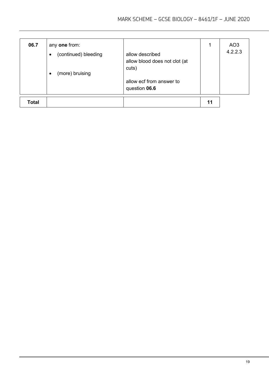| 06.7         | any one from:<br>(continued) bleeding<br>$\bullet$<br>(more) bruising<br>$\bullet$ | allow described<br>allow blood does not clot (at<br>cuts)<br>allow ecf from answer to<br>question 06.6 | 1  | AO <sub>3</sub><br>4.2.2.3 |
|--------------|------------------------------------------------------------------------------------|--------------------------------------------------------------------------------------------------------|----|----------------------------|
| <b>Total</b> |                                                                                    |                                                                                                        | 11 |                            |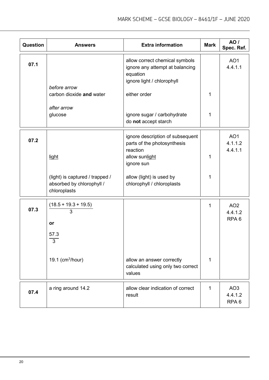| <b>Question</b> | <b>Answers</b>                                                               | <b>Extra information</b>                                                                                    | <b>Mark</b>  | <b>AO</b> /<br>Spec. Ref.                      |
|-----------------|------------------------------------------------------------------------------|-------------------------------------------------------------------------------------------------------------|--------------|------------------------------------------------|
| 07.1            |                                                                              | allow correct chemical symbols<br>ignore any attempt at balancing<br>equation<br>ignore light / chlorophyll |              | AO <sub>1</sub><br>4.4.1.1                     |
|                 | before arrow<br>carbon dioxide and water                                     | either order                                                                                                | 1            |                                                |
|                 | after arrow<br>glucose                                                       | ignore sugar / carbohydrate<br>do not accept starch                                                         | 1            |                                                |
| 07.2            |                                                                              | ignore description of subsequent<br>parts of the photosynthesis<br>reaction                                 |              | AO <sub>1</sub><br>4.1.1.2<br>4.4.1.1          |
|                 | light                                                                        | allow sunlight<br>ignore sun                                                                                | 1            |                                                |
|                 | (light) is captured / trapped /<br>absorbed by chlorophyll /<br>chloroplasts | allow (light) is used by<br>chlorophyll / chloroplasts                                                      | 1            |                                                |
| 07.3            | $(18.5 + 19.3 + 19.5)$<br>3                                                  |                                                                                                             | 1            | AO <sub>2</sub><br>4.4.1.2<br>RPA <sub>6</sub> |
|                 | or<br>57.3<br>3                                                              |                                                                                                             |              |                                                |
|                 | 19.1 ( $cm3/hour$ )                                                          | allow an answer correctly<br>calculated using only two correct<br>values                                    | 1            |                                                |
| 07.4            | a ring around 14.2                                                           | allow clear indication of correct<br>result                                                                 | $\mathbf{1}$ | AO <sub>3</sub><br>4.4.1.2<br>RPA <sub>6</sub> |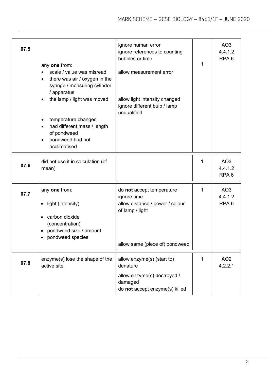| 07.5 | any one from:<br>scale / value was misread<br>there was air / oxygen in the<br>$\bullet$<br>syringe / measuring cylinder<br>/ apparatus<br>the lamp / light was moved<br>temperature changed<br>had different mass / length<br>of pondweed<br>pondweed had not<br>acclimatised | ignore human error<br>ignore references to counting<br>bubbles or time<br>allow measurement error<br>allow light intensity changed<br>ignore different bulb / lamp<br>unqualified | 1 | AO <sub>3</sub><br>4.4.1.2<br>RPA <sub>6</sub> |
|------|--------------------------------------------------------------------------------------------------------------------------------------------------------------------------------------------------------------------------------------------------------------------------------|-----------------------------------------------------------------------------------------------------------------------------------------------------------------------------------|---|------------------------------------------------|
| 07.6 | did not use it in calculation (of<br>mean)                                                                                                                                                                                                                                     |                                                                                                                                                                                   | 1 | AO <sub>3</sub><br>4.4.1.2<br>RPA <sub>6</sub> |
| 07.7 | any one from:<br>light (intensity)<br>$\bullet$<br>carbon dioxide<br>٠<br>(concentration)<br>pondweed size / amount<br>pondweed species                                                                                                                                        | do not accept temperature<br>ignore time<br>allow distance / power / colour<br>of lamp / light<br>allow same (piece of) pondweed                                                  | 1 | AO <sub>3</sub><br>4.4.1.2<br>RPA <sub>6</sub> |
| 07.8 | enzyme(s) lose the shape of the<br>active site                                                                                                                                                                                                                                 | allow enzyme(s) (start to)<br>denature<br>allow enzyme(s) destroyed /<br>damaged<br>do not accept enzyme(s) killed                                                                | 1 | AO <sub>2</sub><br>4.2.2.1                     |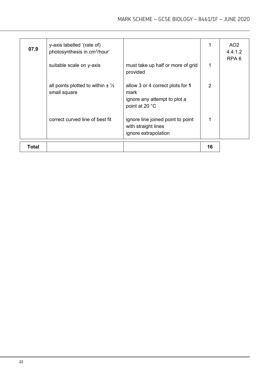| Total |                                                                        |                                                                                            | 16 |                            |
|-------|------------------------------------------------------------------------|--------------------------------------------------------------------------------------------|----|----------------------------|
|       | correct curved line of best fit                                        | ignore line joined point to point<br>with straight lines<br>ignore extrapolation           | 1  |                            |
|       | all points plotted to within $\pm \frac{1}{2}$<br>small square         | allow 3 or 4 correct plots for 1<br>mark<br>ignore any attempt to plot a<br>point at 20 °C | 2  |                            |
|       | suitable scale on y-axis                                               | must take up half or more of grid<br>provided                                              | 1  | RPA <sub>6</sub>           |
| 07.9  | y-axis labelled '(rate of)<br>photosynthesis in cm <sup>3</sup> /hour' |                                                                                            | 1  | AO <sub>2</sub><br>4.4.1.2 |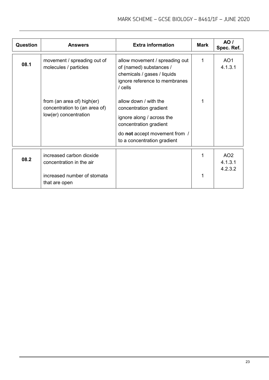| <b>Question</b> | <b>Answers</b>                                                                       | <b>Extra information</b>                                                                                                                                               | Mark | AO/<br>Spec. Ref.                     |
|-----------------|--------------------------------------------------------------------------------------|------------------------------------------------------------------------------------------------------------------------------------------------------------------------|------|---------------------------------------|
| 08.1            | movement / spreading out of<br>molecules / particles                                 | allow movement / spreading out<br>of (named) substances /<br>chemicals / gases / liquids<br>ignore reference to membranes<br>$/$ cells                                 | 1    | AO <sub>1</sub><br>4.1.3.1            |
|                 | from (an area of) high(er)<br>concentration to (an area of)<br>low(er) concentration | allow down / with the<br>concentration gradient<br>ignore along / across the<br>concentration gradient<br>do not accept movement from /<br>to a concentration gradient |      |                                       |
| 08.2            | increased carbon dioxide<br>concentration in the air<br>increased number of stomata  |                                                                                                                                                                        |      | AO <sub>2</sub><br>4.1.3.1<br>4.2.3.2 |
|                 | that are open                                                                        |                                                                                                                                                                        |      |                                       |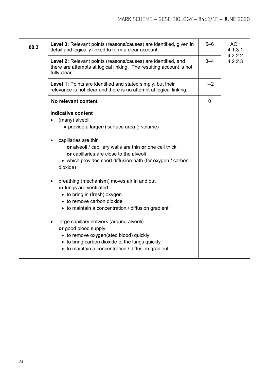| 08.3 | Level 3: Relevant points (reasons/causes) are identified, given in<br>detail and logically linked to form a clear account.                                                                                                                                                                                                                                                                                                                                                                                                                                                                                                                                                                                                           | $5 - 6$ | AO <sub>1</sub><br>4.1.3.1<br>4.2.2.2 |
|------|--------------------------------------------------------------------------------------------------------------------------------------------------------------------------------------------------------------------------------------------------------------------------------------------------------------------------------------------------------------------------------------------------------------------------------------------------------------------------------------------------------------------------------------------------------------------------------------------------------------------------------------------------------------------------------------------------------------------------------------|---------|---------------------------------------|
|      | Level 2: Relevant points (reasons/causes) are identified, and<br>there are attempts at logical linking. The resulting account is not<br>fully clear.                                                                                                                                                                                                                                                                                                                                                                                                                                                                                                                                                                                 | $3 - 4$ | 4.2.2.3                               |
|      | Level 1: Points are identified and stated simply, but their<br>relevance is not clear and there is no attempt at logical linking.                                                                                                                                                                                                                                                                                                                                                                                                                                                                                                                                                                                                    |         |                                       |
|      | No relevant content                                                                                                                                                                                                                                                                                                                                                                                                                                                                                                                                                                                                                                                                                                                  |         |                                       |
|      | <b>Indicative content</b><br>(many) alveoli<br>• provide a large(r) surface area (: volume)<br>capillaries are thin<br>or alveoli / capillary walls are thin or one cell thick<br>or capillaries are close to the alveoli<br>• which provides short diffusion path (for oxygen / carbon<br>dioxide)<br>breathing (mechanism) moves air in and out<br>or lungs are ventilated<br>• to bring in (fresh) oxygen<br>• to remove carbon dioxide<br>• to maintain a concentration / diffusion gradient`<br>large capillary network (around alveoli)<br>$\bullet$<br>or good blood supply<br>• to remove oxygen(ated blood) quickly<br>• to bring carbon dioxide to the lungs quickly<br>• to maintain a concentration / diffusion gradient |         |                                       |